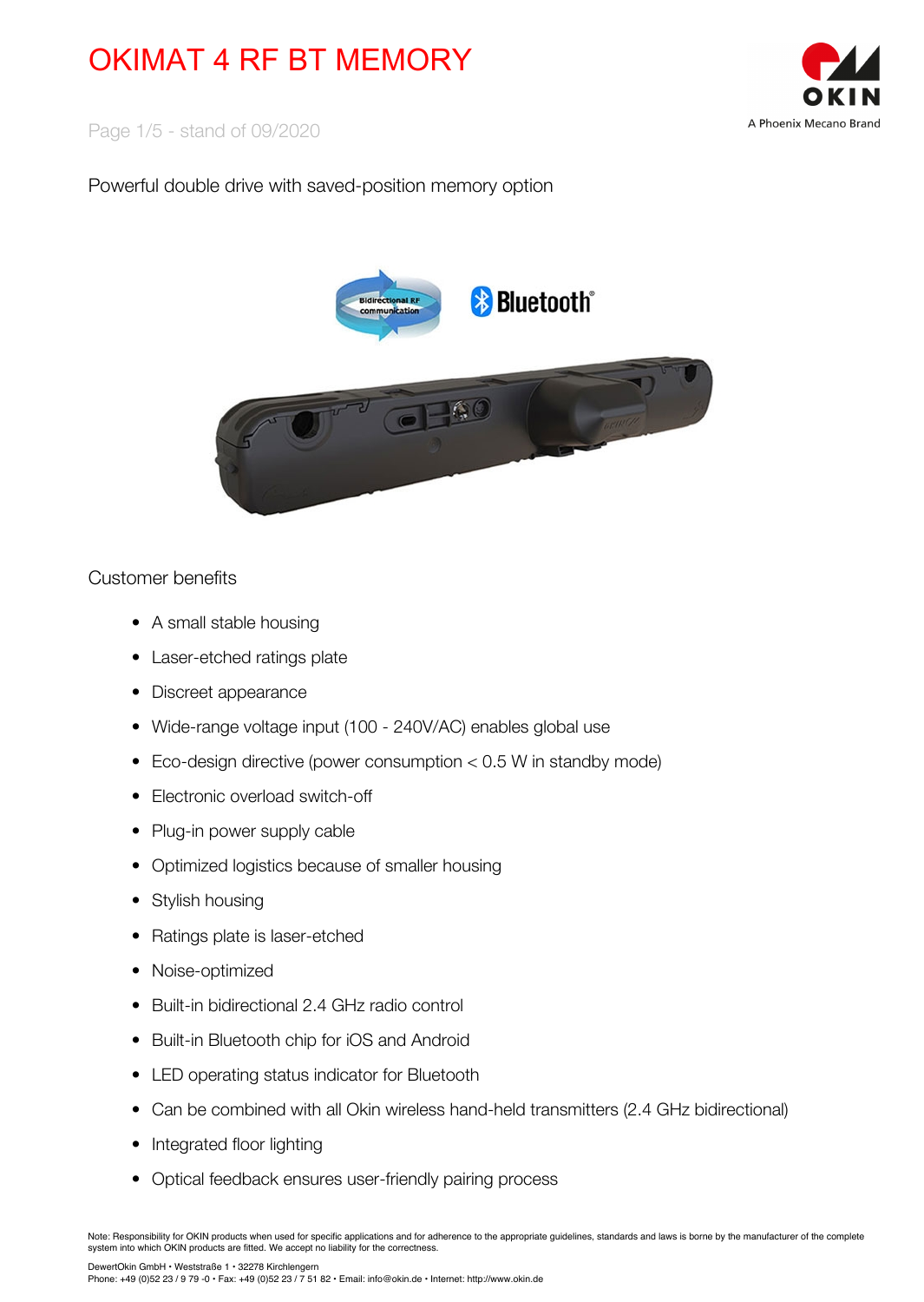

Page 1/5 - stand of 09/2020

## Powerful double drive with saved-position memory option



### Customer benefits

- A small stable housing
- Laser-etched ratings plate
- Discreet appearance
- Wide-range voltage input (100 240V/AC) enables global use
- Eco-design directive (power consumption < 0.5 W in standby mode)
- Electronic overload switch-off
- Plug-in power supply cable
- Optimized logistics because of smaller housing
- Stylish housing
- Ratings plate is laser-etched
- Noise-optimized
- Built-in bidirectional 2.4 GHz radio control
- Built-in Bluetooth chip for iOS and Android
- LED operating status indicator for Bluetooth
- Can be combined with all Okin wireless hand-held transmitters (2.4 GHz bidirectional)
- Integrated floor lighting
- Optical feedback ensures user-friendly pairing process

DewertOkin GmbH • Weststraße 1 • 32278 Kirchlengern

Note: Responsibility for OKIN products when used for specific applications and for adherence to the appropriate guidelines, standards and laws is borne by the manufacturer of the complete system into which OKIN products are fitted. We accept no liability for the correctness.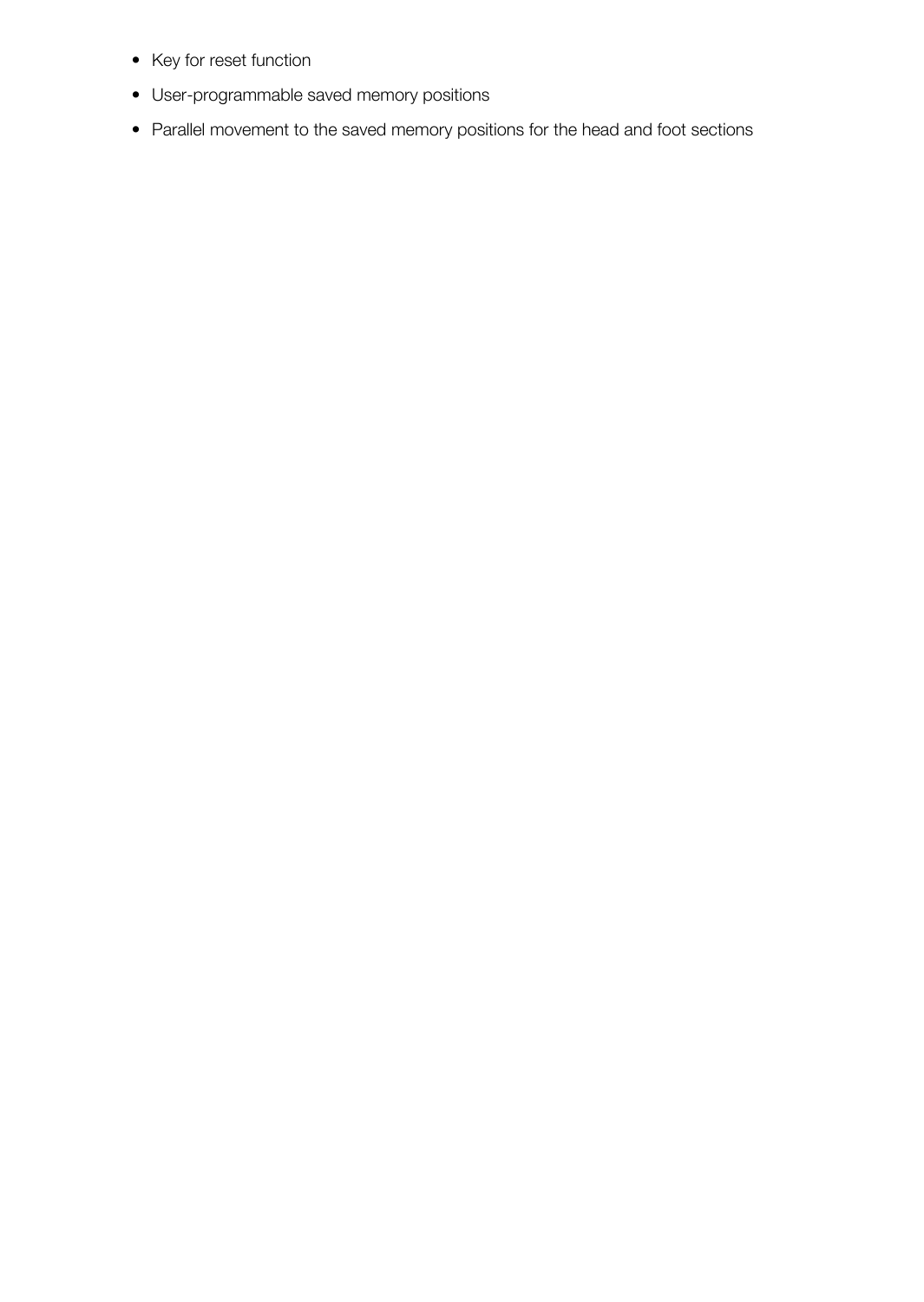- Key for reset function
- User-programmable saved memory positions
- Parallel movement to the saved memory positions for the head and foot sections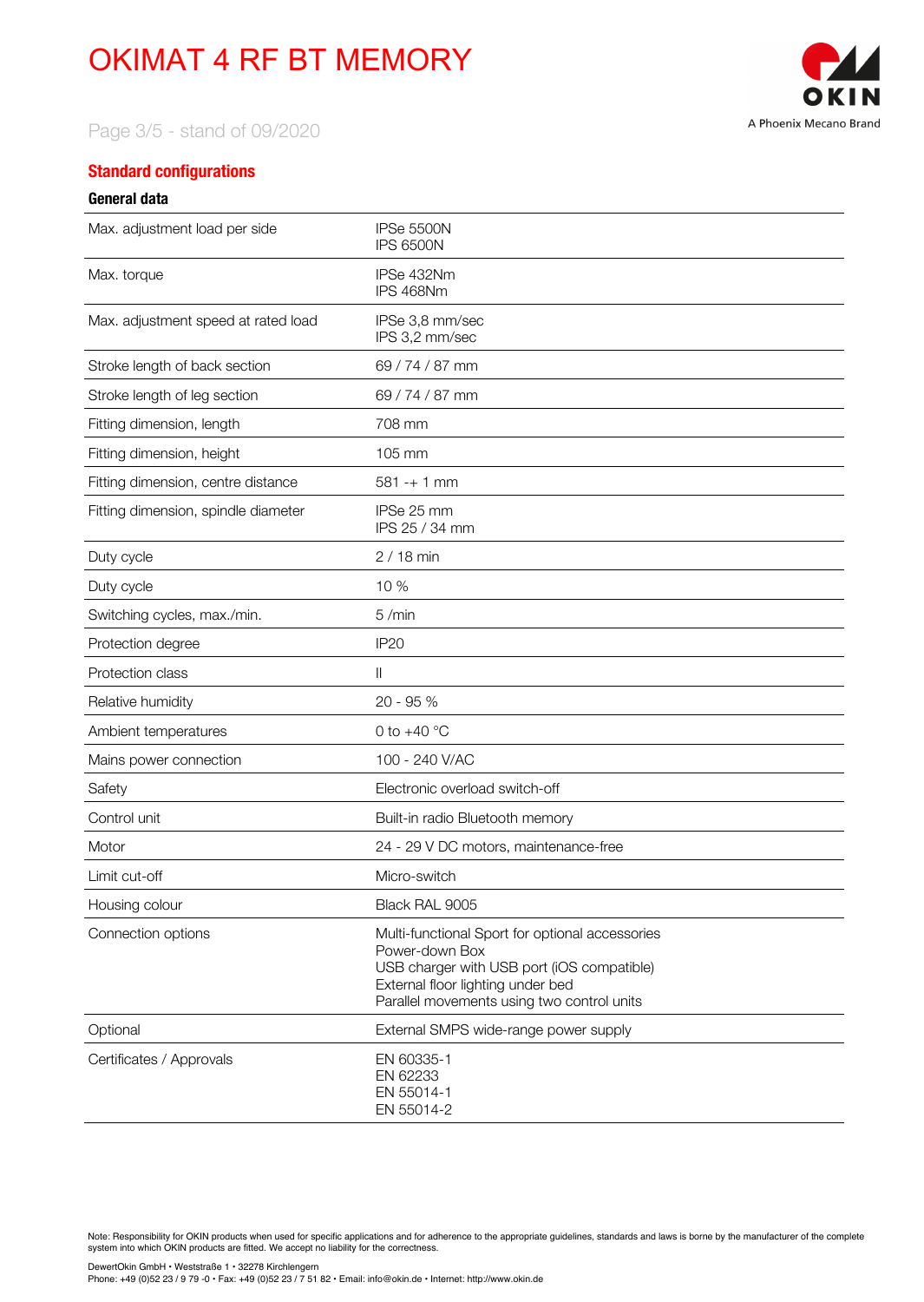

Page 3/5 - stand of 09/2020

#### **Standard configurations**

#### **General data**

| Max. adjustment load per side       | IPSe 5500N<br><b>IPS 6500N</b>                                                                                                                                                                     |
|-------------------------------------|----------------------------------------------------------------------------------------------------------------------------------------------------------------------------------------------------|
| Max. torque                         | IPSe 432Nm<br>IPS 468Nm                                                                                                                                                                            |
| Max. adjustment speed at rated load | IPSe 3.8 mm/sec<br>IPS 3,2 mm/sec                                                                                                                                                                  |
| Stroke length of back section       | 69 / 74 / 87 mm                                                                                                                                                                                    |
| Stroke length of leg section        | 69 / 74 / 87 mm                                                                                                                                                                                    |
| Fitting dimension, length           | 708 mm                                                                                                                                                                                             |
| Fitting dimension, height           | 105 mm                                                                                                                                                                                             |
| Fitting dimension, centre distance  | $581 - + 1$ mm                                                                                                                                                                                     |
| Fitting dimension, spindle diameter | IPSe 25 mm<br>IPS 25 / 34 mm                                                                                                                                                                       |
| Duty cycle                          | $2/18$ min                                                                                                                                                                                         |
| Duty cycle                          | 10 %                                                                                                                                                                                               |
| Switching cycles, max./min.         | 5/min                                                                                                                                                                                              |
| Protection degree                   | <b>IP20</b>                                                                                                                                                                                        |
| Protection class                    | $\mathbb{I}$                                                                                                                                                                                       |
| Relative humidity                   | 20 - 95 %                                                                                                                                                                                          |
| Ambient temperatures                | 0 to $+40$ °C                                                                                                                                                                                      |
| Mains power connection              | 100 - 240 V/AC                                                                                                                                                                                     |
| Safety                              | Electronic overload switch-off                                                                                                                                                                     |
| Control unit                        | Built-in radio Bluetooth memory                                                                                                                                                                    |
| Motor                               | 24 - 29 V DC motors, maintenance-free                                                                                                                                                              |
| Limit cut-off                       | Micro-switch                                                                                                                                                                                       |
| Housing colour                      | Black RAL 9005                                                                                                                                                                                     |
| Connection options                  | Multi-functional Sport for optional accessories<br>Power-down Box<br>USB charger with USB port (iOS compatible)<br>External floor lighting under bed<br>Parallel movements using two control units |
| Optional                            | External SMPS wide-range power supply                                                                                                                                                              |
| Certificates / Approvals            | EN 60335-1<br>EN 62233<br>EN 55014-1<br>EN 55014-2                                                                                                                                                 |

Note: Responsibility for OKIN products when used for specific applications and for adherence to the appropriate guidelines, standards and laws is borne by the manufacturer of the complete system into which OKIN products are fitted. We accept no liability for the correctness.

DewertOkin GmbH • Weststraße 1 • 32278 Kirchlengern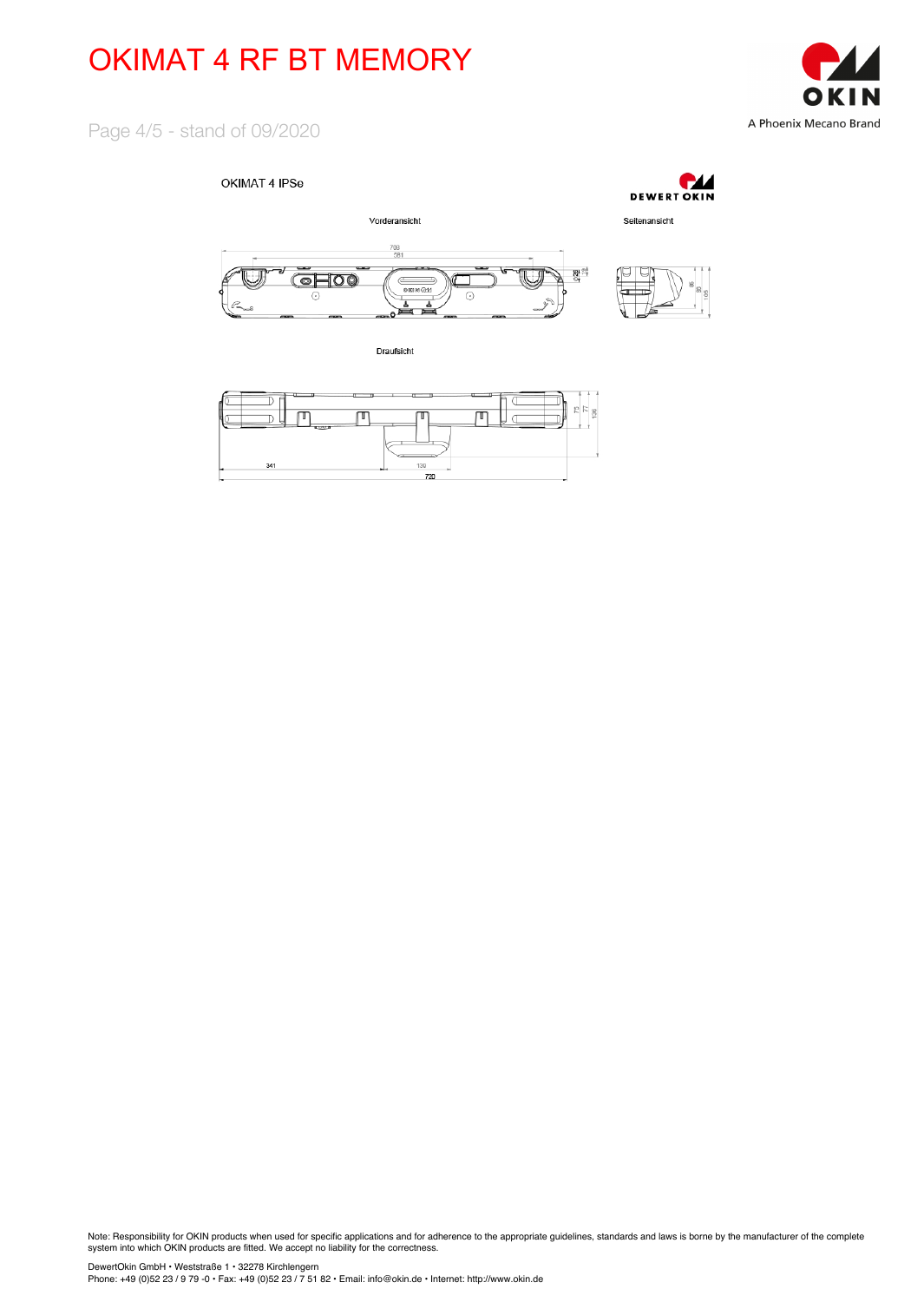

Page 4/5 - stand of 09/2020

#### OKIMAT 4 IPSe



Draufsicht



Note: Responsibility for OKIN products when used for specific applications and for adherence to the appropriate guidelines, standards and laws is borne by the manufacturer of the complete system into which OKIN products are fitted. We accept no liability for the correctness.